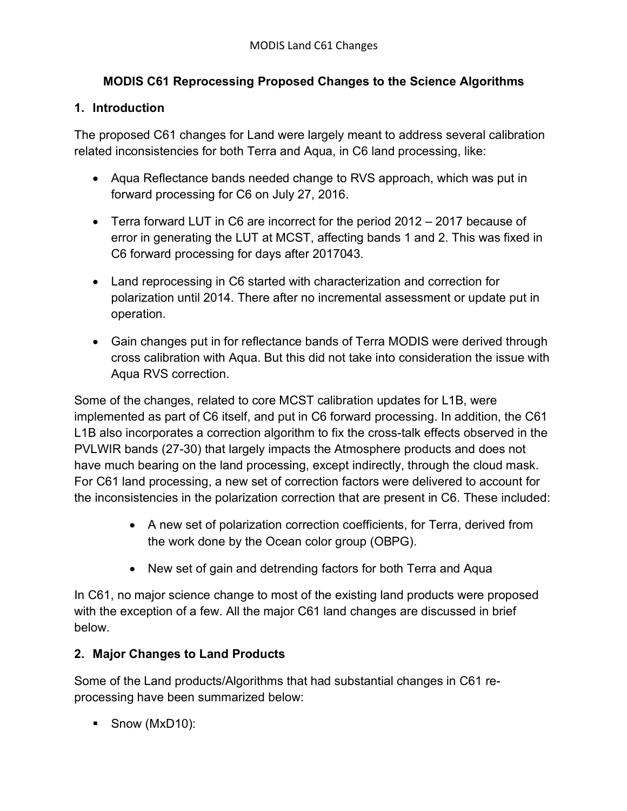## **MODIS C61 Reprocessing Proposed Changes to the Science Algorithms**

## **1. Introduction**

The proposed C61 changes for Land were largely meant to address several calibration related inconsistencies for both Terra and Aqua, in C6 land processing, like:

- Aqua Reflectance bands needed change to RVS approach, which was put in forward processing for C6 on July 27, 2016.
- Terra forward LUT in C6 are incorrect for the period 2012 2017 because of error in generating the LUT at MCST, affecting bands 1 and 2. This was fixed in C6 forward processing for days after 2017043.
- Land reprocessing in C6 started with characterization and correction for polarization until 2014. There after no incremental assessment or update put in operation.
- Gain changes put in for reflectance bands of Terra MODIS were derived through cross calibration with Aqua. But this did not take into consideration the issue with Aqua RVS correction.

Some of the changes, related to core MCST calibration updates for L1B, were implemented as part of C6 itself, and put in C6 forward processing. In addition, the C61 L1B also incorporates a correction algorithm to fix the cross-talk effects observed in the PVLWIR bands (27-30) that largely impacts the Atmosphere products and does not have much bearing on the land processing, except indirectly, through the cloud mask. For C61 land processing, a new set of correction factors were delivered to account for the inconsistencies in the polarization correction that are present in C6. These included:

- A new set of polarization correction coefficients, for Terra, derived from the work done by the Ocean color group (OBPG).
- New set of gain and detrending factors for both Terra and Aqua

In C61, no major science change to most of the existing land products were proposed with the exception of a few. All the major C61 land changes are discussed in brief below.

## **2. Major Changes to Land Products**

Some of the Land products/Algorithms that had substantial changes in C61 reprocessing have been summarized below:

■ Snow (MxD10):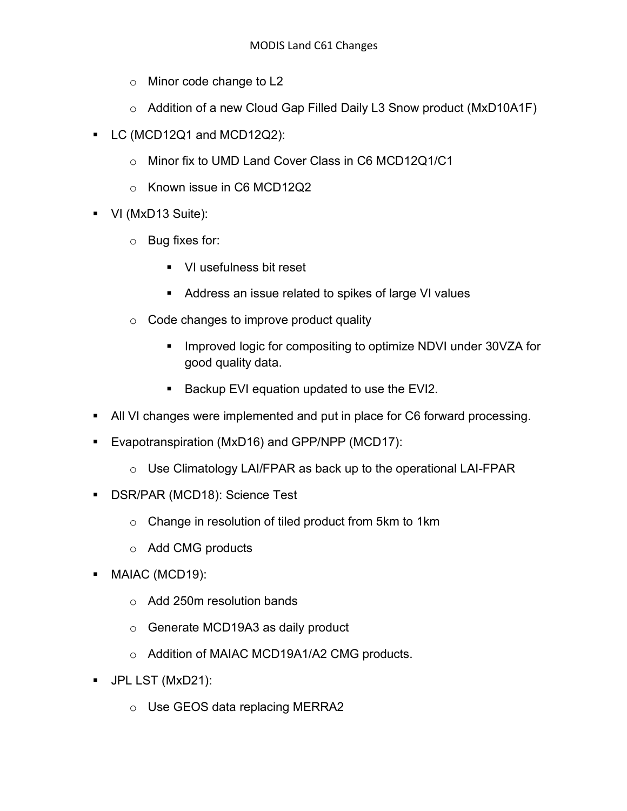- o Minor code change to L2
- o Addition of a new Cloud Gap Filled Daily L3 Snow product (MxD10A1F)
- LC (MCD12Q1 and MCD12Q2):
	- o Minor fix to UMD Land Cover Class in C6 MCD12Q1/C1
	- o Known issue in C6 MCD12Q2
- VI (MxD13 Suite):
	- o Bug fixes for:
		- **•** VI usefulness bit reset
		- Address an issue related to spikes of large VI values
	- o Code changes to improve product quality
		- Improved logic for compositing to optimize NDVI under 30VZA for good quality data.
		- Backup EVI equation updated to use the EVI2.
- All VI changes were implemented and put in place for C6 forward processing.
- Evapotranspiration (MxD16) and GPP/NPP (MCD17):
	- o Use Climatology LAI/FPAR as back up to the operational LAI-FPAR
- DSR/PAR (MCD18): Science Test
	- o Change in resolution of tiled product from 5km to 1km
	- o Add CMG products
- § MAIAC (MCD19):
	- o Add 250m resolution bands
	- o Generate MCD19A3 as daily product
	- o Addition of MAIAC MCD19A1/A2 CMG products.
- § JPL LST (MxD21):
	- o Use GEOS data replacing MERRA2